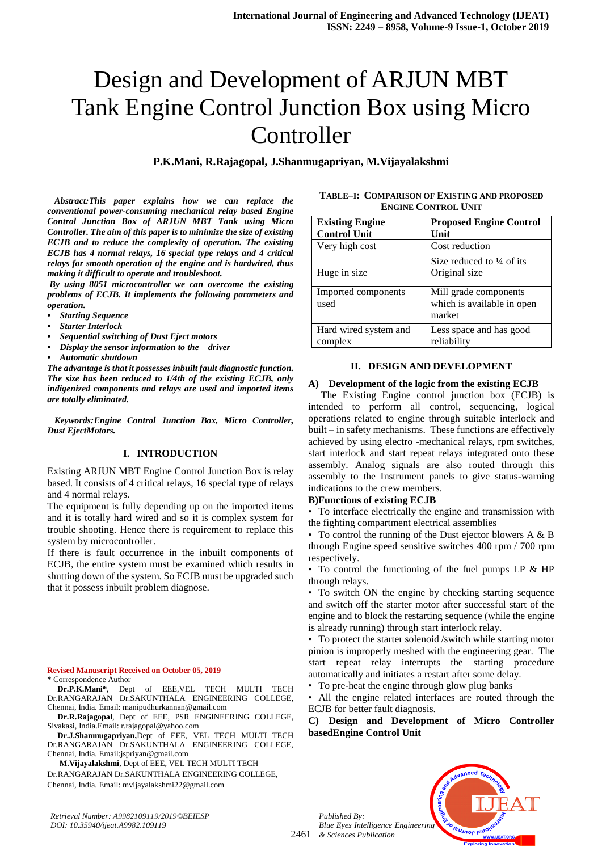# Design and Development of ARJUN MBT Tank Engine Control Junction Box using Micro Controller

**P.K.Mani, R.Rajagopal, J.Shanmugapriyan, M.Vijayalakshmi**

*Abstract:This paper explains how we can replace the conventional power-consuming mechanical relay based Engine Control Junction Box of ARJUN MBT Tank using Micro Controller. The aim of this paper is to minimize the size of existing ECJB and to reduce the complexity of operation. The existing ECJB has 4 normal relays, 16 special type relays and 4 critical relays for smooth operation of the engine and is hardwired, thus making it difficult to operate and troubleshoot.*

*By using 8051 microcontroller we can overcome the existing problems of ECJB. It implements the following parameters and operation.*

- *• Starting Sequence*
- *• Starter Interlock*
- *• Sequential switching of Dust Eject motors*
- *• Display the sensor information to the driver*
- *• Automatic shutdown*

*The advantage is that it possesses inbuilt fault diagnostic function. The size has been reduced to 1/4th of the existing ECJB, only indigenized components and relays are used and imported items are totally eliminated.*

*Keywords:Engine Control Junction Box, Micro Controller, Dust EjectMotors.*

#### **I. INTRODUCTION**

Existing ARJUN MBT Engine Control Junction Box is relay based. It consists of 4 critical relays, 16 special type of relays and 4 normal relays.

The equipment is fully depending up on the imported items and it is totally hard wired and so it is complex system for trouble shooting. Hence there is requirement to replace this system by microcontroller.

If there is fault occurrence in the inbuilt components of ECJB, the entire system must be examined which results in shutting down of the system. So ECJB must be upgraded such that it possess inbuilt problem diagnose.

# **Revised Manuscript Received on October 05, 2019**

**\*** Correspondence Author

**Dr.P.K.Mani\***, Dept of EEE,VEL TECH MULTI TECH Dr.RANGARAJAN Dr.SAKUNTHALA ENGINEERING COLLEGE, Chennai, India. Email: manipudhurkannan@gmail.com

**Dr.R.Rajagopal**, Dept of EEE, PSR ENGINEERING COLLEGE, Sivakasi, India.Email: r.rajagopal@yahoo.com

**Dr.J.Shanmugapriyan,**Dept of EEE, VEL TECH MULTI TECH Dr.RANGARAJAN Dr.SAKUNTHALA ENGINEERING COLLEGE, Chennai, India. Email:jspriyan@gmail.com

 **M.Vijayalakshmi**, Dept of EEE, VEL TECH MULTI TECH

Dr.RANGARAJAN Dr.SAKUNTHALA ENGINEERING COLLEGE,

Chennai, India. Email: [mvijayalakshmi22@gmail.com](mailto:mvijayalakshmi22@gmail.com)

*Retrieval Number: A9982109119/2019©BEIESP DOI: 10.35940/ijeat.A9982.109119*

**TABLE–I: COMPARISON OF EXISTING AND PROPOSED ENGINE CONTROL UNIT**

| <b>Existing Engine</b><br><b>Control Unit</b> | <b>Proposed Engine Control</b><br>Unit                        |
|-----------------------------------------------|---------------------------------------------------------------|
| Very high cost                                | Cost reduction                                                |
| Huge in size                                  | Size reduced to $\frac{1}{4}$ of its<br>Original size         |
| Imported components<br>used                   | Mill grade components<br>which is available in open<br>market |
| Hard wired system and<br>complex              | Less space and has good<br>reliability                        |

#### **II. DESIGN AND DEVELOPMENT**

#### **A) Development of the logic from the existing ECJB**

 The Existing Engine control junction box (ECJB) is intended to perform all control, sequencing, logical operations related to engine through suitable interlock and built – in safety mechanisms. These functions are effectively achieved by using electro -mechanical relays, rpm switches, start interlock and start repeat relays integrated onto these assembly. Analog signals are also routed through this assembly to the Instrument panels to give status-warning indications to the crew members.

## **B)Functions of existing ECJB**

• To interface electrically the engine and transmission with the fighting compartment electrical assemblies

• To control the running of the Dust ejector blowers  $A \& B$ through Engine speed sensitive switches 400 rpm / 700 rpm respectively.

• To control the functioning of the fuel pumps LP & HP through relays.

• To switch ON the engine by checking starting sequence and switch off the starter motor after successful start of the engine and to block the restarting sequence (while the engine is already running) through start interlock relay.

• To protect the starter solenoid /switch while starting motor pinion is improperly meshed with the engineering gear. The start repeat relay interrupts the starting procedure automatically and initiates a restart after some delay.

• To pre-heat the engine through glow plug banks

• All the engine related interfaces are routed through the ECJB for better fault diagnosis.

**C) Design and Development of Micro Controller basedEngine Control Unit**



2461 *& Sciences Publication* 

*Published By:*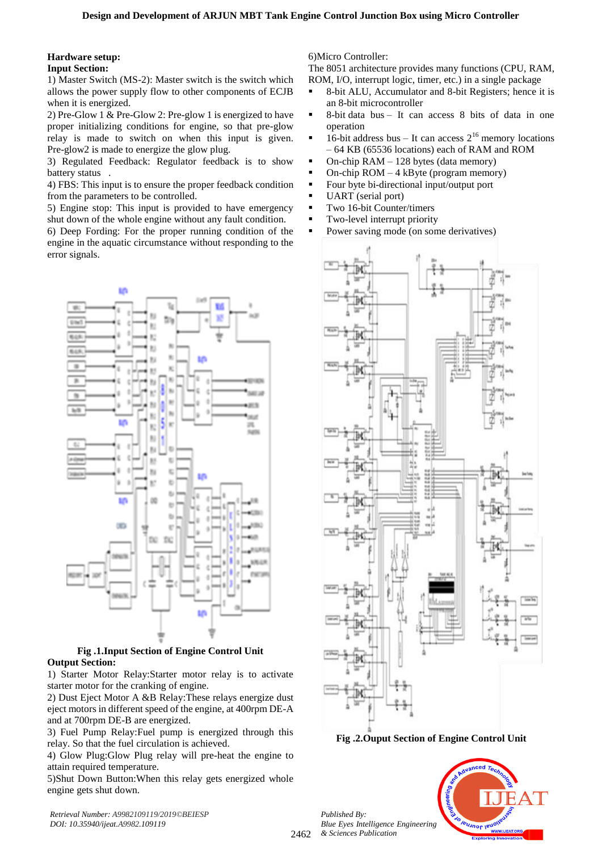### **Hardware setup: Input Section:**

1) Master Switch (MS-2): Master switch is the switch which allows the power supply flow to other components of ECJB when it is energized.

2) Pre-Glow 1 & Pre-Glow 2: Pre-glow 1 is energized to have proper initializing conditions for engine, so that pre-glow relay is made to switch on when this input is given. Pre-glow2 is made to energize the glow plug.

3) Regulated Feedback: Regulator feedback is to show battery status .

4) FBS: This input is to ensure the proper feedback condition from the parameters to be controlled.

5) Engine stop: This input is provided to have emergency shut down of the whole engine without any fault condition.

6) Deep Fording: For the proper running condition of the engine in the aquatic circumstance without responding to the error signals.



# **Fig .1.Input Section of Engine Control Unit Output Section:**

1) Starter Motor Relay:Starter motor relay is to activate starter motor for the cranking of engine.

2) Dust Eject Motor A &B Relay:These relays energize dust eject motors in different speed of the engine, at 400rpm DE-A and at 700rpm DE-B are energized.

3) Fuel Pump Relay:Fuel pump is energized through this relay. So that the fuel circulation is achieved.

4) Glow Plug:Glow Plug relay will pre-heat the engine to attain required temperature.

5)Shut Down Button:When this relay gets energized whole engine gets shut down.

*Retrieval Number: A9982109119/2019©BEIESP DOI: 10.35940/ijeat.A9982.109119*

6)Micro Controller:

The 8051 architecture provides many functions (CPU, RAM, ROM, I/O, interrupt logic, timer, etc.) in a single package

- 8-bit ALU, Accumulator and 8-bit Registers; hence it is an 8-bit microcontroller
- $\bullet$  8-bit data bus It can access 8 bits of data in one operation
- $\blacksquare$  16-bit address bus It can access  $2^{16}$  memory locations – 64 KB (65536 locations) each of RAM and ROM
- $\blacksquare$  On-chip RAM 128 bytes (data memory)
- On-chip  $ROM 4 kByte (program memory)$
- Four byte bi-directional input/output port
- UART (serial port)
- **Two 16-bit Counter/timers**
- **Two-level interrupt priority**
- Power saving mode (on some derivatives)



**Fig .2.Ouput Section of Engine Control Unit**

*Published By: Blue Eyes Intelligence Engineering & Sciences Publication* 

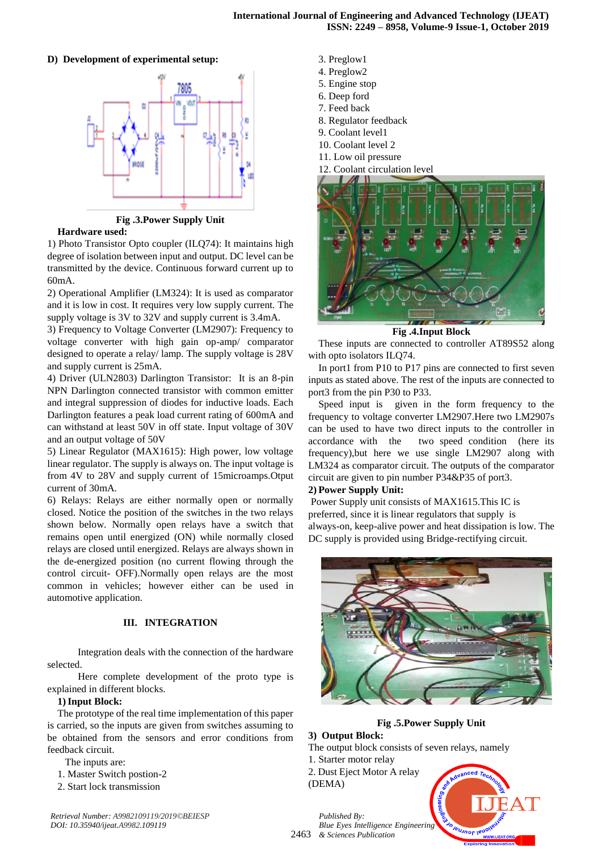# **D) Development of experimental setup:**



**Fig .3.Power Supply Unit**

## **Hardware used:**

1) Photo Transistor Opto coupler (ILQ74): It maintains high degree of isolation between input and output. DC level can be transmitted by the device. Continuous forward current up to 60mA.

2) Operational Amplifier (LM324): It is used as comparator and it is low in cost. It requires very low supply current. The supply voltage is 3V to 32V and supply current is 3.4mA.

3) Frequency to Voltage Converter (LM2907): Frequency to voltage converter with high gain op-amp/ comparator designed to operate a relay/ lamp. The supply voltage is 28V and supply current is 25mA.

4) Driver (ULN2803) Darlington Transistor: It is an 8-pin NPN Darlington connected transistor with common emitter and integral suppression of diodes for inductive loads. Each Darlington features a peak load current rating of 600mA and can withstand at least 50V in off state. Input voltage of 30V and an output voltage of 50V

5) Linear Regulator (MAX1615): High power, low voltage linear regulator. The supply is always on. The input voltage is from 4V to 28V and supply current of 15microamps.Otput current of 30mA.

6) Relays: Relays are either normally open or normally closed. Notice the position of the switches in the two relays shown below. Normally open relays have a switch that remains open until energized (ON) while normally closed relays are closed until energized. Relays are always shown in the de-energized position (no current flowing through the control circuit- OFF).Normally open relays are the most common in vehicles; however either can be used in automotive application.

# **III. INTEGRATION**

 Integration deals with the connection of the hardware selected.

 Here complete development of the proto type is explained in different blocks.

## **1)Input Block:**

The prototype of the real time implementation of this paper is carried, so the inputs are given from switches assuming to be obtained from the sensors and error conditions from feedback circuit.

The inputs are:

- 1. Master Switch postion-2
- 2. Start lock transmission
- 3. Preglow1
- 4. Preglow2
- 5. Engine stop
- 6. Deep ford 7. Feed back
- 8. Regulator feedback
- 9. Coolant level1
- 10. Coolant level 2
- 11. Low oil pressure
- 12. Coolant circulation level



**Fig .4.Input Block**

These inputs are connected to controller AT89S52 along with opto isolators ILQ74.

In port1 from P10 to P17 pins are connected to first seven inputs as stated above. The rest of the inputs are connected to port3 from the pin P30 to P33.

Speed input is given in the form frequency to the frequency to voltage converter LM2907.Here two LM2907s can be used to have two direct inputs to the controller in accordance with the two speed condition (here its frequency),but here we use single LM2907 along with LM324 as comparator circuit. The outputs of the comparator circuit are given to pin number P34&P35 of port3.

# **2) Power Supply Unit:**

Power Supply unit consists of MAX1615.This IC is preferred, since it is linear regulators that supply is always-on, keep-alive power and heat dissipation is low. The DC supply is provided using Bridge-rectifying circuit.



**Fig .5.Power Supply Unit**

# **3) Output Block:**

The output block consists of seven relays, namely

- 1. Starter motor relay
- 2. Dust Eject Motor A relay
- (DEMA)



2463 *& Sciences Publication Published By: Blue Eyes Intelligence Engineering*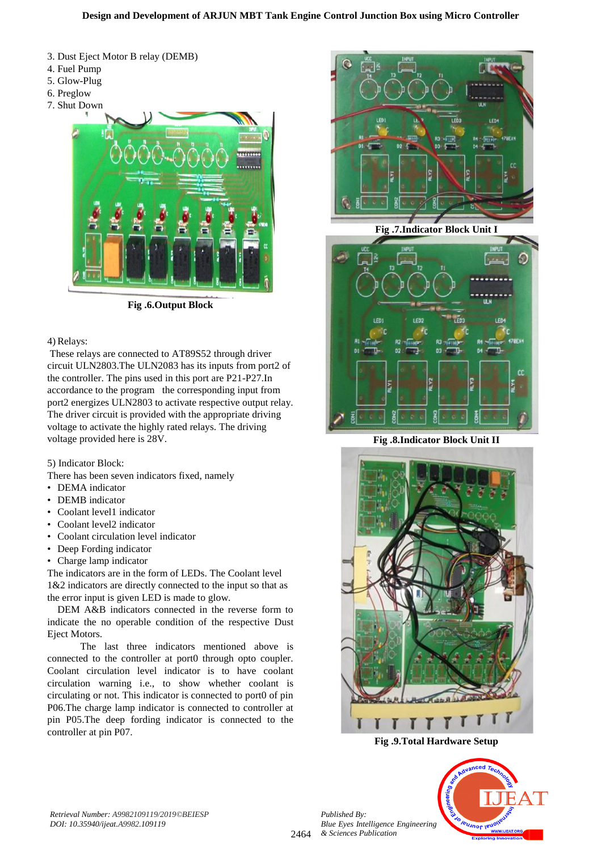- 3. Dust Eject Motor B relay (DEMB)
- 4. Fuel Pump
- 5. Glow-Plug
- 6. Preglow
- 7. Shut Down



**Fig .6.Output Block**

# 4) Relays:

These relays are connected to AT89S52 through driver circuit ULN2803.The ULN2083 has its inputs from port2 of the controller. The pins used in this port are P21-P27.In accordance to the program the corresponding input from port2 energizes ULN2803 to activate respective output relay. The driver circuit is provided with the appropriate driving voltage to activate the highly rated relays. The driving voltage provided here is 28V.

# 5) Indicator Block:

There has been seven indicators fixed, namely

- DEMA indicator
- DEMB indicator
- Coolant level1 indicator
- Coolant level2 indicator
- Coolant circulation level indicator
- Deep Fording indicator
- Charge lamp indicator

The indicators are in the form of LEDs. The Coolant level 1&2 indicators are directly connected to the input so that as the error input is given LED is made to glow.

DEM A&B indicators connected in the reverse form to indicate the no operable condition of the respective Dust Eject Motors.

 The last three indicators mentioned above is connected to the controller at port0 through opto coupler. Coolant circulation level indicator is to have coolant circulation warning i.e., to show whether coolant is circulating or not. This indicator is connected to port0 of pin P06.The charge lamp indicator is connected to controller at pin P05.The deep fording indicator is connected to the controller at pin P07.



**Fig .7.Indicator Block Unit I**



**Fig .8.Indicator Block Unit II**



**Fig .9.Total Hardware Setup**



2464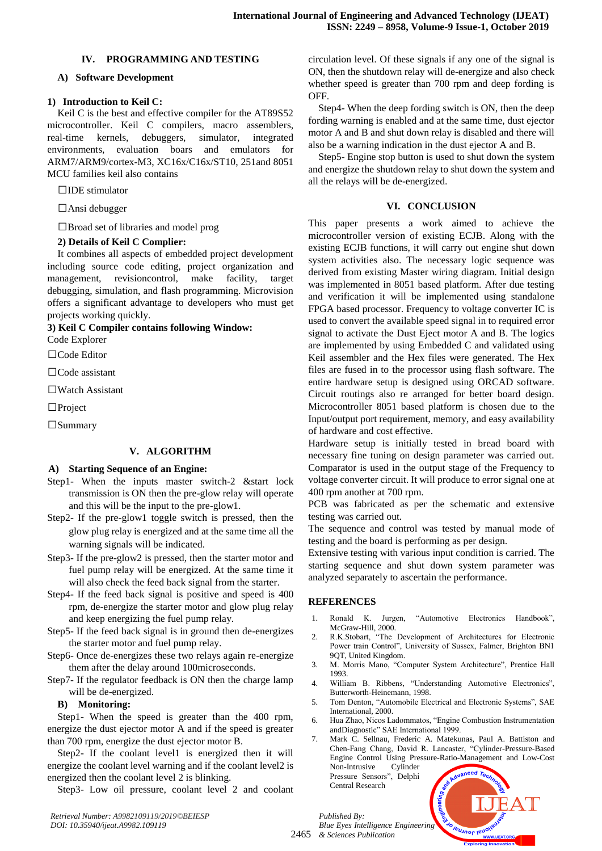# **IV. PROGRAMMING AND TESTING**

## **A) Software Development**

## **1) Introduction to Keil C:**

Keil C is the best and effective compiler for the AT89S52 microcontroller. Keil C compilers, macro assemblers, real-time kernels, debuggers, simulator, integrated environments, evaluation boars and emulators for ARM7/ARM9/cortex-M3, XC16x/C16x/ST10, 251and 8051 MCU families keil also contains

 $\square$ IDE stimulator

Ansi debugger

□Broad set of libraries and model prog

# **2) Details of Keil C Complier:**

It combines all aspects of embedded project development including source code editing, project organization and management, revisioncontrol, make facility, target debugging, simulation, and flash programming. Microvision offers a significant advantage to developers who must get projects working quickly.

**3) Keil C Compiler contains following Window:**

Code Explorer

□Code Editor

Code assistant

Watch Assistant

 $\Box$ Project

□Summary

# **V. ALGORITHM**

#### **A) Starting Sequence of an Engine:**

- Step1- When the inputs master switch-2 &start lock transmission is ON then the pre-glow relay will operate and this will be the input to the pre-glow1.
- Step2- If the pre-glow1 toggle switch is pressed, then the glow plug relay is energized and at the same time all the warning signals will be indicated.
- Step3- If the pre-glow2 is pressed, then the starter motor and fuel pump relay will be energized. At the same time it will also check the feed back signal from the starter.
- Step4- If the feed back signal is positive and speed is 400 rpm, de-energize the starter motor and glow plug relay and keep energizing the fuel pump relay.
- Step5- If the feed back signal is in ground then de-energizes the starter motor and fuel pump relay.
- Step6- Once de-energizes these two relays again re-energize them after the delay around 100microseconds.

Step7- If the regulator feedback is ON then the charge lamp will be de-energized.

#### **B) Monitoring:**

Step1- When the speed is greater than the 400 rpm, energize the dust ejector motor A and if the speed is greater than 700 rpm, energize the dust ejector motor B.

Step2- If the coolant level1 is energized then it will energize the coolant level warning and if the coolant level2 is energized then the coolant level 2 is blinking.

Step3- Low oil pressure, coolant level 2 and coolant

circulation level. Of these signals if any one of the signal is ON, then the shutdown relay will de-energize and also check whether speed is greater than 700 rpm and deep fording is OFF.

Step4- When the deep fording switch is ON, then the deep fording warning is enabled and at the same time, dust ejector motor A and B and shut down relay is disabled and there will also be a warning indication in the dust ejector A and B.

Step5- Engine stop button is used to shut down the system and energize the shutdown relay to shut down the system and all the relays will be de-energized.

## **VI. CONCLUSION**

This paper presents a work aimed to achieve the microcontroller version of existing ECJB. Along with the existing ECJB functions, it will carry out engine shut down system activities also. The necessary logic sequence was derived from existing Master wiring diagram. Initial design was implemented in 8051 based platform. After due testing and verification it will be implemented using standalone FPGA based processor. Frequency to voltage converter IC is used to convert the available speed signal in to required error signal to activate the Dust Eject motor A and B. The logics are implemented by using Embedded C and validated using Keil assembler and the Hex files were generated. The Hex files are fused in to the processor using flash software. The entire hardware setup is designed using ORCAD software. Circuit routings also re arranged for better board design. Microcontroller 8051 based platform is chosen due to the Input/output port requirement, memory, and easy availability of hardware and cost effective.

Hardware setup is initially tested in bread board with necessary fine tuning on design parameter was carried out. Comparator is used in the output stage of the Frequency to voltage converter circuit. It will produce to error signal one at 400 rpm another at 700 rpm.

PCB was fabricated as per the schematic and extensive testing was carried out.

The sequence and control was tested by manual mode of testing and the board is performing as per design.

Extensive testing with various input condition is carried. The starting sequence and shut down system parameter was analyzed separately to ascertain the performance.

# **REFERENCES**

- 1. Ronald K. Jurgen, "Automotive Electronics Handbook", McGraw-Hill, 2000.
- 2. R.K.Stobart, "The Development of Architectures for Electronic Power train Control", University of Sussex, Falmer, Brighton BN1 9QT, United Kingdom.
- 3. M. Morris Mano, "Computer System Architecture", Prentice Hall 1993.
- 4. William B. Ribbens, "Understanding Automotive Electronics", Butterworth-Heinemann, 1998.
- 5. Tom Denton, "Automobile Electrical and Electronic Systems", SAE International, 2000.
- 6. Hua Zhao, Nicos Ladommatos, "Engine Combustion Instrumentation andDiagnostic" SAE International 1999.
- 7. Mark C. Sellnau, Frederic A. Matekunas, Paul A. Battiston and Chen-Fang Chang, David R. Lancaster, "Cylinder-Pressure-Based Engine Control Using Pressure-Ratio-Management and Low-Cost Non-Intrusive Cylinder Pressure Sensors", Delphi Central Research

leusnor leuor

*Retrieval Number: A9982109119/2019©BEIESP DOI: 10.35940/ijeat.A9982.109119*

2465 *& Sciences Publication Published By: Blue Eyes Intelligence Engineering*